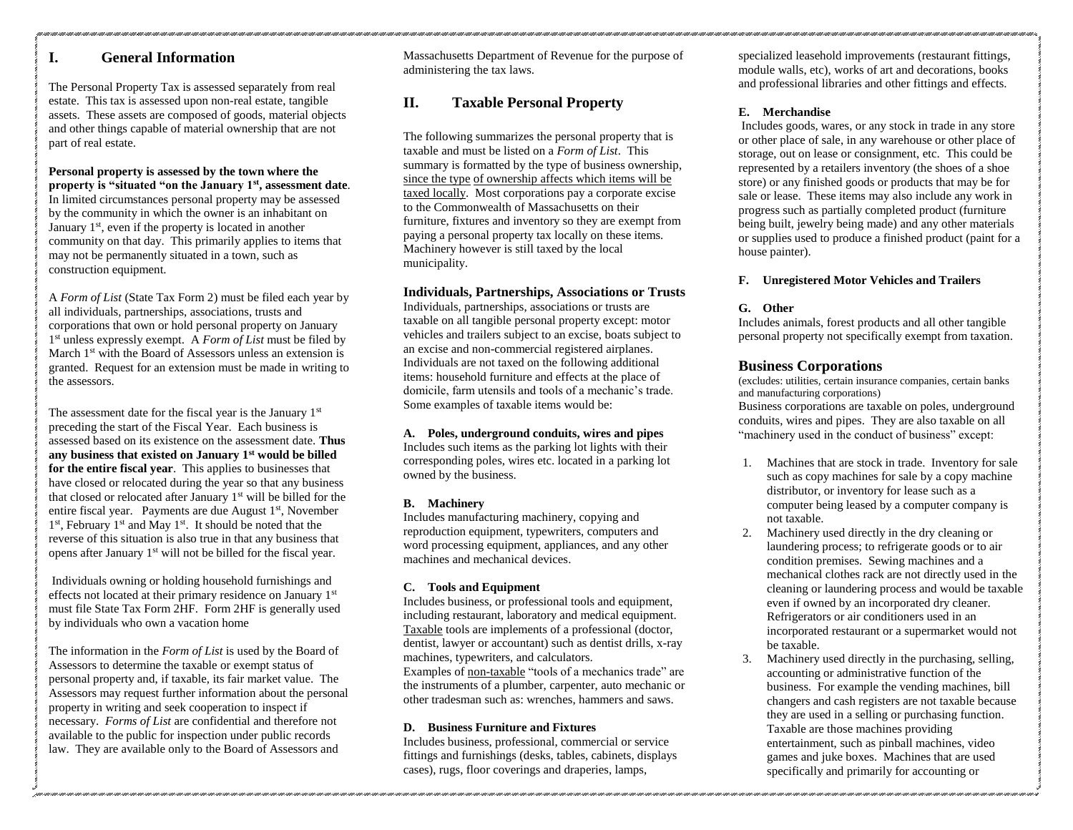## **I. General Information**

The Personal Property Tax is assessed separately from real estate. This tax is assessed upon non-real estate, tangible assets. These assets are composed of goods, material objects and other things capable of material ownership that are not part of real estate.

## **Personal property is assessed by the town where the property is "situated "on the January 1st, assessment date**.

In limited circumstances personal property may be assessed by the community in which the owner is an inhabitant on January  $1<sup>st</sup>$ , even if the property is located in another community on that day. This primarily applies to items that may not be permanently situated in a town, such as construction equipment.

A *Form of List* (State Tax Form 2) must be filed each year by all individuals, partnerships, associations, trusts and corporations that own or hold personal property on January 1 st unless expressly exempt. A *Form of List* must be filed by March 1<sup>st</sup> with the Board of Assessors unless an extension is granted. Request for an extension must be made in writing to the assessors.

The assessment date for the fiscal year is the January 1<sup>st</sup> preceding the start of the Fiscal Year. Each business is assessed based on its existence on the assessment date. **Thus any business that existed on January 1st would be billed for the entire fiscal year**. This applies to businesses that have closed or relocated during the year so that any business that closed or relocated after January 1<sup>st</sup> will be billed for the entire fiscal year. Payments are due August 1<sup>st</sup>, November 1<sup>st</sup>, February 1<sup>st</sup> and May 1<sup>st</sup>. It should be noted that the reverse of this situation is also true in that any business that opens after January 1<sup>st</sup> will not be billed for the fiscal year.

Individuals owning or holding household furnishings and effects not located at their primary residence on January 1st must file State Tax Form 2HF. Form 2HF is generally used by individuals who own a vacation home

The information in the *Form of List* is used by the Board of Assessors to determine the taxable or exempt status of personal property and, if taxable, its fair market value. The Assessors may request further information about the personal property in writing and seek cooperation to inspect if necessary. *Forms of List* are confidential and therefore not available to the public for inspection under public records law. They are available only to the Board of Assessors and

Massachusetts Department of Revenue for the purpose of administering the tax laws.

## **II. Taxable Personal Property**

The following summarizes the personal property that is taxable and must be listed on a *Form of List*. This summary is formatted by the type of business ownership, since the type of ownership affects which items will be taxed locally. Most corporations pay a corporate excise to the Commonwealth of Massachusetts on their furniture, fixtures and inventory so they are exempt from paying a personal property tax locally on these items. Machinery however is still taxed by the local municipality.

#### **Individuals, Partnerships, Associations or Trusts**

Individuals, partnerships, associations or trusts are taxable on all tangible personal property except: motor vehicles and trailers subject to an excise, boats subject to an excise and non-commercial registered airplanes. Individuals are not taxed on the following additional items: household furniture and effects at the place of domicile, farm utensils and tools of a mechanic's trade. Some examples of taxable items would be:

#### **A. Poles, underground conduits, wires and pipes**

Includes such items as the parking lot lights with their corresponding poles, wires etc. located in a parking lot owned by the business.

#### **B. Machinery**

Includes manufacturing machinery, copying and reproduction equipment, typewriters, computers and word processing equipment, appliances, and any other machines and mechanical devices.

#### **C. Tools and Equipment**

Includes business, or professional tools and equipment, including restaurant, laboratory and medical equipment. Taxable tools are implements of a professional (doctor, dentist, lawyer or accountant) such as dentist drills, x-ray machines, typewriters, and calculators.

Examples of non-taxable "tools of a mechanics trade" are the instruments of a plumber, carpenter, auto mechanic or other tradesman such as: wrenches, hammers and saws.

#### **D. Business Furniture and Fixtures**

Includes business, professional, commercial or service fittings and furnishings (desks, tables, cabinets, displays cases), rugs, floor coverings and draperies, lamps,

specialized leasehold improvements (restaurant fittings, module walls, etc), works of art and decorations, books and professional libraries and other fittings and effects.

#### **E. Merchandise**

Includes goods, wares, or any stock in trade in any store or other place of sale, in any warehouse or other place of storage, out on lease or consignment, etc. This could be represented by a retailers inventory (the shoes of a shoe store) or any finished goods or products that may be for sale or lease. These items may also include any work in progress such as partially completed product (furniture being built, jewelry being made) and any other materials or supplies used to produce a finished product (paint for a house painter).

#### **F. Unregistered Motor Vehicles and Trailers**

#### **G. Other**

Includes animals, forest products and all other tangible personal property not specifically exempt from taxation.

### **Business Corporations**

(excludes: utilities, certain insurance companies, certain banks and manufacturing corporations)

Business corporations are taxable on poles, underground conduits, wires and pipes. They are also taxable on all "machinery used in the conduct of business" except:

- 1. Machines that are stock in trade. Inventory for sale such as copy machines for sale by a copy machine distributor, or inventory for lease such as a computer being leased by a computer company is not taxable.
- 2. Machinery used directly in the dry cleaning or laundering process; to refrigerate goods or to air condition premises. Sewing machines and a mechanical clothes rack are not directly used in the cleaning or laundering process and would be taxable even if owned by an incorporated dry cleaner. Refrigerators or air conditioners used in an incorporated restaurant or a supermarket would not be taxable.
- 3. Machinery used directly in the purchasing, selling, accounting or administrative function of the business. For example the vending machines, bill changers and cash registers are not taxable because they are used in a selling or purchasing function. Taxable are those machines providing entertainment, such as pinball machines, video games and juke boxes. Machines that are used specifically and primarily for accounting or